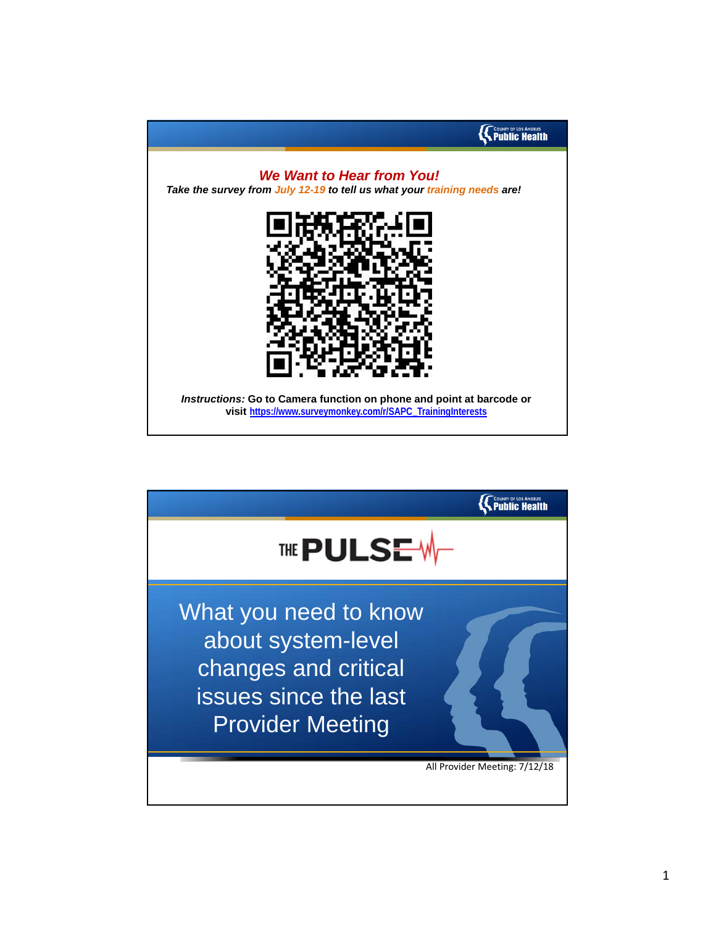

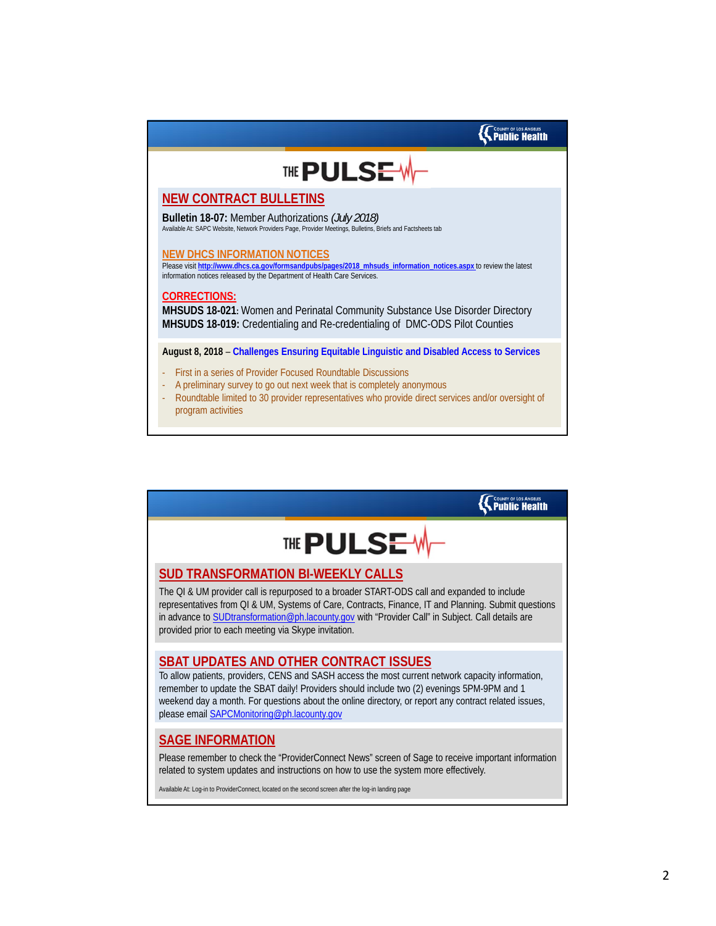

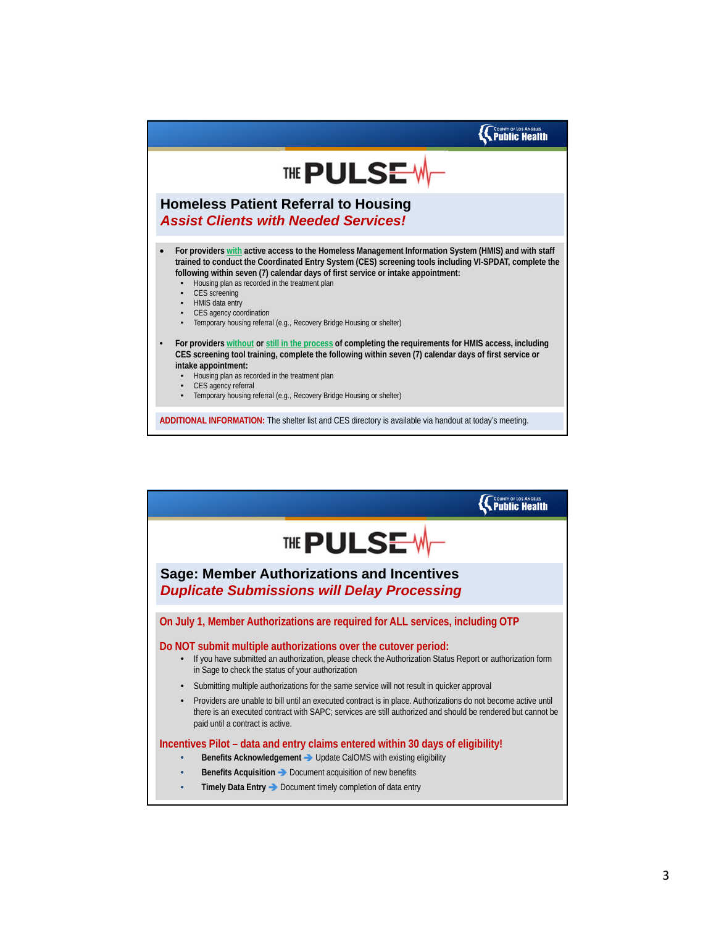

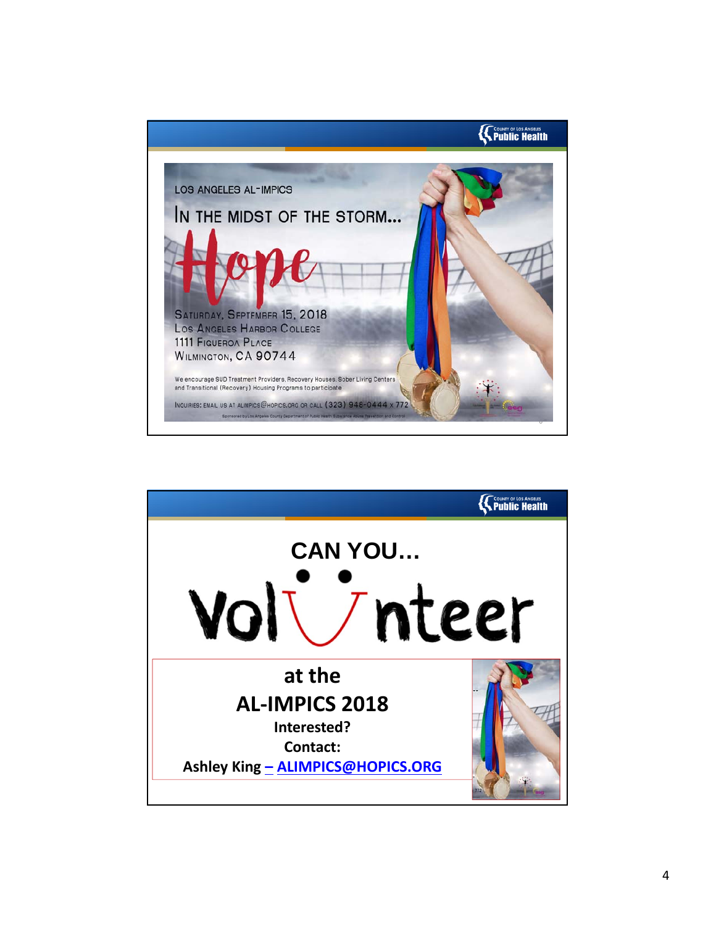